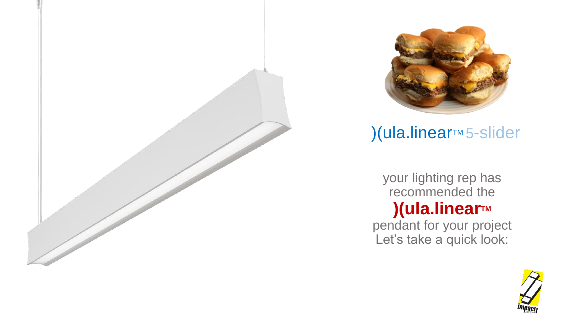



# )(ula.linear™ 5-slider

your lighting rep has recommended the **)(ula.linearTM**

pendant for your project Let's take a quick look:

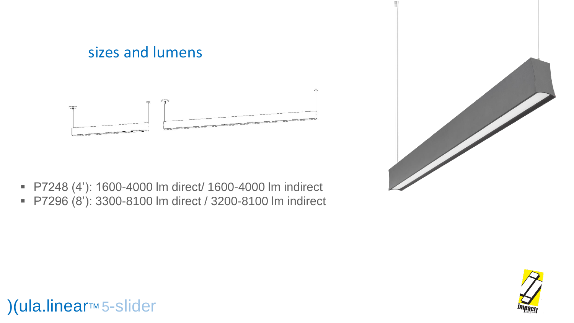

- P7248 (4'): 1600-4000 lm direct/ 1600-4000 lm indirect
- P7296 (8'): 3300-8100 lm direct / 3200-8100 lm indirect





)(ula.linear™ 5-slider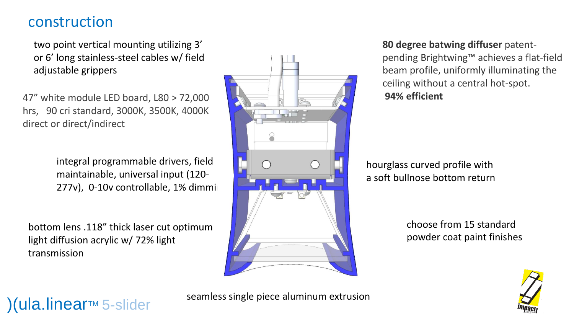#### construction

two point vertical mounting utilizing 3' or 6' long stainless-steel cables w/ field adjustable grippers

47" white module LED board, L80 > 72,000 hrs, 90 cri standard, 3000K, 3500K, 4000K direct or direct/indirect

> integral programmable drivers, field maintainable, universal input (120-  $277v$ ), 0-10v controllable, 1% dimming

bottom lens .118" thick laser cut optimum light diffusion acrylic w/ 72% light transmission



#### **80 degree batwing diffuser** patent-

pending Brightwing™ achieves a flat-field beam profile, uniformly illuminating the ceiling without a central hot-spot. **94% efficient**

hourglass curved profile with a soft bullnose bottom return

> choose from 15 standard powder coat paint finishes



## $(a)$ (ula.linear<sub>M 5-slider</sub>

seamless single piece aluminum extrusion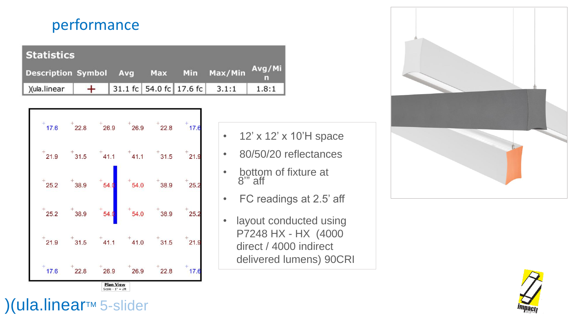### performance

| <b>Statistics</b>                             |  |  |  |  |                                   |       |
|-----------------------------------------------|--|--|--|--|-----------------------------------|-------|
| Description Symbol Avg Max Min Max/Min Avg/Mi |  |  |  |  |                                   |       |
| )(ula.linear                                  |  |  |  |  | $+$ 31.1 fc 54.0 fc 17.6 fc 3.1:1 | 1.8:1 |



- 12' x 12' x 10'H space
- 80/50/20 reflectances
- bottom of fixture at 8'" aff
- FC readings at 2.5' aff
- layout conducted using P7248 HX - HX (4000 direct / 4000 indirect delivered lumens) 90CRI